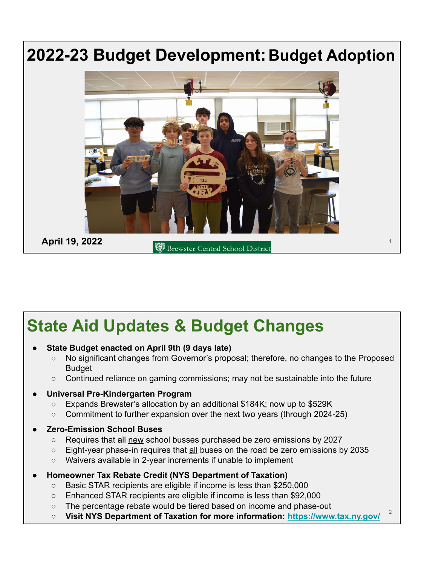

# **State Aid Updates & Budget Changes**

#### **● State Budget enacted on April 9th (9 days late)**

- No significant changes from Governor's proposal; therefore, no changes to the Proposed Budget
- Continued reliance on gaming commissions; may not be sustainable into the future

#### **● Universal Pre-Kindergarten Program**

- Expands Brewster's allocation by an additional \$184K; now up to \$529K
- Commitment to further expansion over the next two years (through 2024-25)
- **● Zero-Emission School Buses**
	- Requires that all new school busses purchased be zero emissions by 2027
	- Eight-year phase-in requires that all buses on the road be zero emissions by 2035
	- Waivers available in 2-year increments if unable to implement
- **● Homeowner Tax Rebate Credit (NYS Department of Taxation)**
	- Basic STAR recipients are eligible if income is less than \$250,000
	- Enhanced STAR recipients are eligible if income is less than \$92,000
	- The percentage rebate would be tiered based on income and phase-out
	- **Visit NYS Department of Taxation for more information:<https://www.tax.ny.gov/>**

2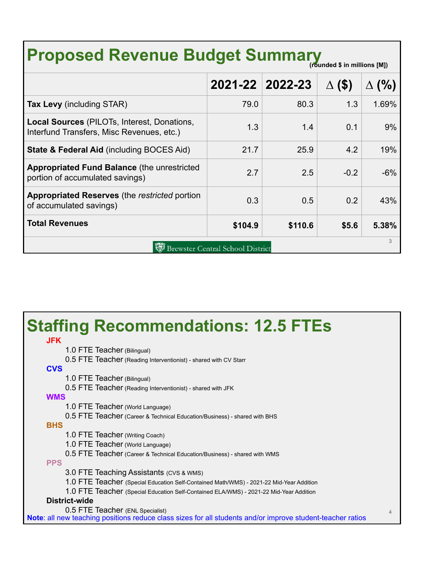# **Proposed Revenue Budget Summary**

| $1.98118984$ will immediate the $1.7$                                                    |                 |         |                    |        |  |  |
|------------------------------------------------------------------------------------------|-----------------|---------|--------------------|--------|--|--|
|                                                                                          | 2021-22 2022-23 |         | $($ \$<br>$\Delta$ | $(\%)$ |  |  |
| <b>Tax Levy</b> (including STAR)                                                         | 79.0            | 80.3    | 1.3                | 1.69%  |  |  |
| Local Sources (PILOTs, Interest, Donations,<br>Interfund Transfers, Misc Revenues, etc.) | 1.3             | 1.4     | 0.1                | 9%     |  |  |
| <b>State &amp; Federal Aid (including BOCES Aid)</b>                                     | 21.7            | 25.9    | 4.2                | 19%    |  |  |
| <b>Appropriated Fund Balance (the unrestricted)</b><br>portion of accumulated savings)   | 2.7             | 2.5     | $-0.2$             | $-6%$  |  |  |
| <b>Appropriated Reserves</b> (the restricted portion<br>of accumulated savings)          | 0.3             | 0.5     | 0.2                | 43%    |  |  |
| <b>Total Revenues</b>                                                                    | \$104.9         | \$110.6 | \$5.6              | 5.38%  |  |  |
| 3<br><b>Brewster Central School District</b>                                             |                 |         |                    |        |  |  |

millions [M])

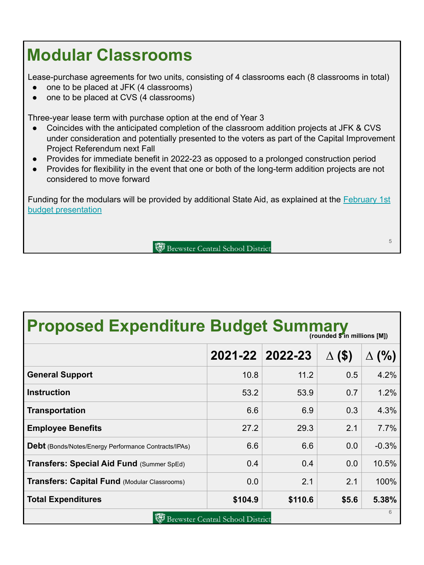## **Modular Classrooms**

Lease-purchase agreements for two units, consisting of 4 classrooms each (8 classrooms in total)

- one to be placed at JFK (4 classrooms)
- one to be placed at CVS (4 classrooms)

Three-year lease term with purchase option at the end of Year 3

- Coincides with the anticipated completion of the classroom addition projects at JFK & CVS under consideration and potentially presented to the voters as part of the Capital Improvement Project Referendum next Fall
- Provides for immediate benefit in 2022-23 as opposed to a prolonged construction period
- Provides for flexibility in the event that one or both of the long-term addition projects are not considered to move forward

Funding for the modulars will be provided by additional State Aid, as explained at the **February 1st** [budget presentation](https://www.brewsterschools.org/site/handlers/filedownload.ashx?moduleinstanceid=7035&dataid=11953&FileName=2022-23%20Budget%20Pres%201%20-%20Revenues%20BoE%202022.02.01_accessible.pdf)

Brewster Central School District

5

**Proposed Expenditure Budget Summary** 

|                                                             |         | 2021-22 2022-23 | $\Delta$ (\$) | $\Delta$ (%) |  |  |  |
|-------------------------------------------------------------|---------|-----------------|---------------|--------------|--|--|--|
| <b>General Support</b>                                      | 10.8    | 11.2            | 0.5           | 4.2%         |  |  |  |
| <b>Instruction</b>                                          | 53.2    | 53.9            | 0.7           | 1.2%         |  |  |  |
| <b>Transportation</b>                                       | 6.6     | 6.9             | 0.3           | 4.3%         |  |  |  |
| <b>Employee Benefits</b>                                    | 27.2    | 29.3            | 2.1           | 7.7%         |  |  |  |
| <b>Debt</b> (Bonds/Notes/Energy Performance Contracts/IPAs) | 6.6     | 6.6             | 0.0           | $-0.3%$      |  |  |  |
| Transfers: Special Aid Fund (Summer SpEd)                   | 0.4     | 0.4             | 0.0           | 10.5%        |  |  |  |
| <b>Transfers: Capital Fund (Modular Classrooms)</b>         | 0.0     | 2.1             | 2.1           | 100%         |  |  |  |
| <b>Total Expenditures</b>                                   | \$104.9 | \$110.6         | \$5.6         | 5.38%        |  |  |  |
| 6<br><b>Brewster Central School District</b>                |         |                 |               |              |  |  |  |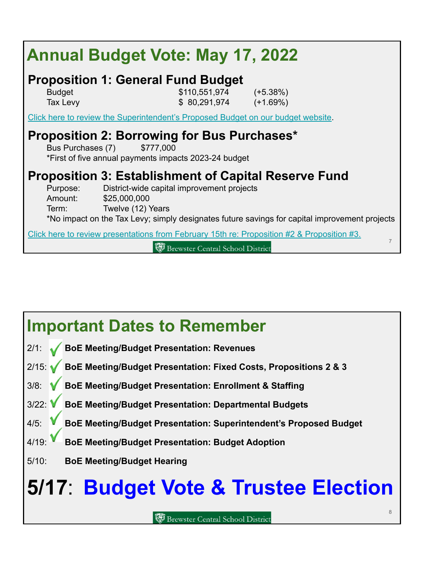| <b>Annual Budget Vote: May 17, 2022</b>                                                                                                |                                                                                                                           |                                                                                                              |  |  |  |
|----------------------------------------------------------------------------------------------------------------------------------------|---------------------------------------------------------------------------------------------------------------------------|--------------------------------------------------------------------------------------------------------------|--|--|--|
| <b>Budget</b><br>Tax Levy                                                                                                              | <b>Proposition 1: General Fund Budget</b><br>$$110,551,974$ $(+5.38\%)$<br>$$80,291,974$ $(+1.69\%)$                      |                                                                                                              |  |  |  |
| Click here to review the Superintendent's Proposed Budget on our budget website.                                                       |                                                                                                                           |                                                                                                              |  |  |  |
| Proposition 2: Borrowing for Bus Purchases*<br>Bus Purchases (7)<br>\$777,000<br>*First of five annual payments impacts 2023-24 budget |                                                                                                                           |                                                                                                              |  |  |  |
| Purpose:<br>Amount:<br>Term: Twelve (12) Years                                                                                         | <b>Proposition 3: Establishment of Capital Reserve Fund</b><br>District-wide capital improvement projects<br>\$25,000,000 | *No impact on the Tax Levy; simply designates future savings for capital improvement projects                |  |  |  |
|                                                                                                                                        | <b>Brewster Central School District</b>                                                                                   | Click here to review presentations from February 15th re: Proposition #2 & Proposition #3.<br>$\overline{7}$ |  |  |  |